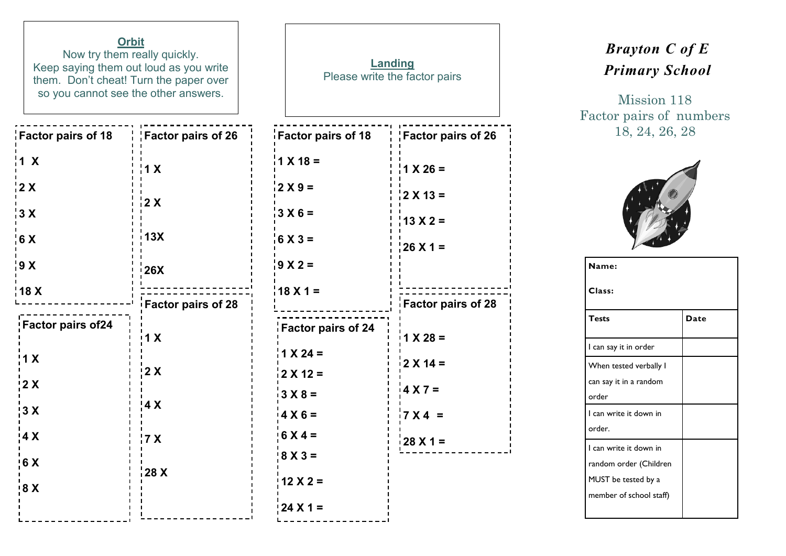| <b>Orbit</b><br>Now try them really quickly.<br>Keep saying them out loud as you write<br>them. Don't cheat! Turn the paper over<br>so you cannot see the other answers. |                           | Landing<br>Please write the factor pairs |                           |  |
|--------------------------------------------------------------------------------------------------------------------------------------------------------------------------|---------------------------|------------------------------------------|---------------------------|--|
| <b>Factor pairs of 18</b>                                                                                                                                                | Factor pairs of 26        | <b>Factor pairs of 18</b>                | Factor pairs of 26        |  |
| 1 X                                                                                                                                                                      | 1 X                       | $1 X 18 =$                               | $1 \times 26 =$           |  |
| 2X                                                                                                                                                                       |                           | $12X9=$                                  | $12 \times 13 =$          |  |
| 3X                                                                                                                                                                       | 2X                        | $13 X 6 =$                               | $13 X 2 =$                |  |
| 6 X                                                                                                                                                                      | 13X                       | $6 X 3 =$                                | $26 \times 1 =$           |  |
| 9 X                                                                                                                                                                      | <b>26X</b>                | $9 X 2 =$                                |                           |  |
| 18 X                                                                                                                                                                     | <b>Factor pairs of 28</b> | $18X1 =$                                 | <b>Factor pairs of 28</b> |  |
| Factor pairs of 24                                                                                                                                                       | 1 X                       | Factor pairs of 24                       | $1 X 28 =$                |  |
| $\frac{1}{2}$ 1 X                                                                                                                                                        | 2 X                       | $1 \times 24 =$<br>$12$ X 12 =           | $2 X 14 =$                |  |
| $\frac{1}{2}$ X                                                                                                                                                          |                           | $3 X 8 =$                                | $4 × 7 =$                 |  |
| $\frac{1}{2}$ X                                                                                                                                                          | 4 X                       | $4 X 6 =$                                | $7X4 =$                   |  |
| $\frac{1}{4}X$                                                                                                                                                           | 7 X                       | $6 X 4 =$                                | $128$ X 1 =               |  |
| $\mathbf I$<br>$\frac{1}{6}$ X                                                                                                                                           |                           | $8 X 3 =$                                |                           |  |
| 9X                                                                                                                                                                       | 28 X                      | $12 X 2 =$                               |                           |  |
|                                                                                                                                                                          |                           | $124 X 1 =$                              |                           |  |
|                                                                                                                                                                          |                           |                                          |                           |  |

## *Brayton C of E Primary School*

Mission 118 Factor pairs of numbers 18, 24, 26, 28



| Name:                   |      |  |  |  |  |
|-------------------------|------|--|--|--|--|
| Class:                  |      |  |  |  |  |
| <b>Tests</b>            | Date |  |  |  |  |
| l can say it in order   |      |  |  |  |  |
| When tested verbally I  |      |  |  |  |  |
| can say it in a random  |      |  |  |  |  |
| order                   |      |  |  |  |  |
| I can write it down in  |      |  |  |  |  |
| order.                  |      |  |  |  |  |
| I can write it down in  |      |  |  |  |  |
| random order (Children  |      |  |  |  |  |
| MUST be tested by a     |      |  |  |  |  |
| member of school staff) |      |  |  |  |  |
|                         |      |  |  |  |  |